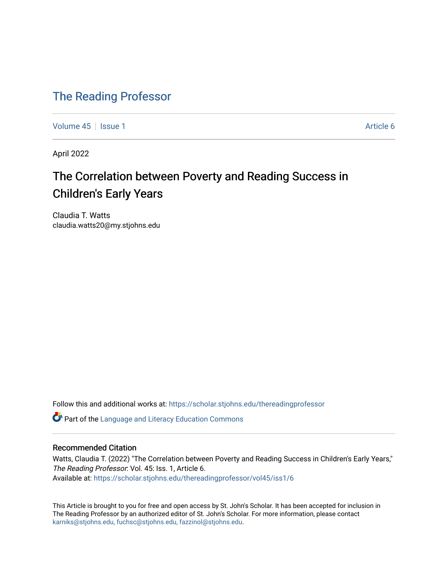## [The Reading Professor](https://scholar.stjohns.edu/thereadingprofessor)

[Volume 45](https://scholar.stjohns.edu/thereadingprofessor/vol45) | [Issue 1](https://scholar.stjohns.edu/thereadingprofessor/vol45/iss1) Article 6

April 2022

# The Correlation between Poverty and Reading Success in Children's Early Years

Claudia T. Watts claudia.watts20@my.stjohns.edu

Follow this and additional works at: [https://scholar.stjohns.edu/thereadingprofessor](https://scholar.stjohns.edu/thereadingprofessor?utm_source=scholar.stjohns.edu%2Fthereadingprofessor%2Fvol45%2Fiss1%2F6&utm_medium=PDF&utm_campaign=PDFCoverPages) 

**C** Part of the Language and Literacy Education Commons

### Recommended Citation

Watts, Claudia T. (2022) "The Correlation between Poverty and Reading Success in Children's Early Years," The Reading Professor: Vol. 45: Iss. 1, Article 6. Available at: [https://scholar.stjohns.edu/thereadingprofessor/vol45/iss1/6](https://scholar.stjohns.edu/thereadingprofessor/vol45/iss1/6?utm_source=scholar.stjohns.edu%2Fthereadingprofessor%2Fvol45%2Fiss1%2F6&utm_medium=PDF&utm_campaign=PDFCoverPages) 

This Article is brought to you for free and open access by St. John's Scholar. It has been accepted for inclusion in The Reading Professor by an authorized editor of St. John's Scholar. For more information, please contact [karniks@stjohns.edu, fuchsc@stjohns.edu, fazzinol@stjohns.edu](mailto:karniks@stjohns.edu,%20fuchsc@stjohns.edu,%20fazzinol@stjohns.edu).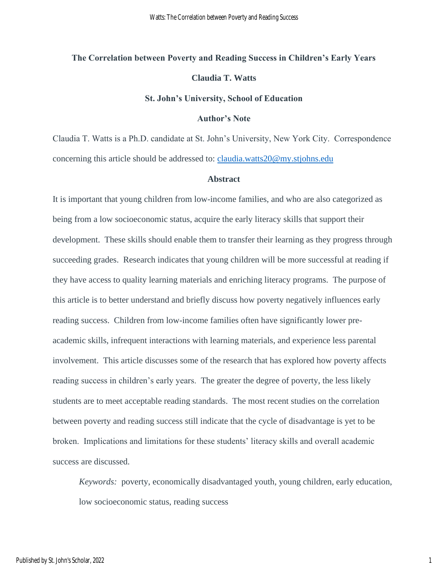# **The Correlation between Poverty and Reading Success in Children's Early Years Claudia T. Watts**

#### **St. John's University, School of Education**

#### **Author's Note**

Claudia T. Watts is a Ph.D. candidate at St. John's University, New York City. Correspondence concerning this article should be addressed to: [claudia.watts20@my.stjohns.edu](mailto:claudia.watts20@my.stjohns.edu)

#### **Abstract**

It is important that young children from low-income families, and who are also categorized as being from a low socioeconomic status, acquire the early literacy skills that support their development. These skills should enable them to transfer their learning as they progress through succeeding grades. Research indicates that young children will be more successful at reading if they have access to quality learning materials and enriching literacy programs. The purpose of this article is to better understand and briefly discuss how poverty negatively influences early reading success. Children from low-income families often have significantly lower preacademic skills, infrequent interactions with learning materials, and experience less parental involvement. This article discusses some of the research that has explored how poverty affects reading success in children's early years. The greater the degree of poverty, the less likely students are to meet acceptable reading standards. The most recent studies on the correlation between poverty and reading success still indicate that the cycle of disadvantage is yet to be broken. Implications and limitations for these students' literacy skills and overall academic success are discussed.

*Keywords:* poverty, economically disadvantaged youth, young children, early education, low socioeconomic status, reading success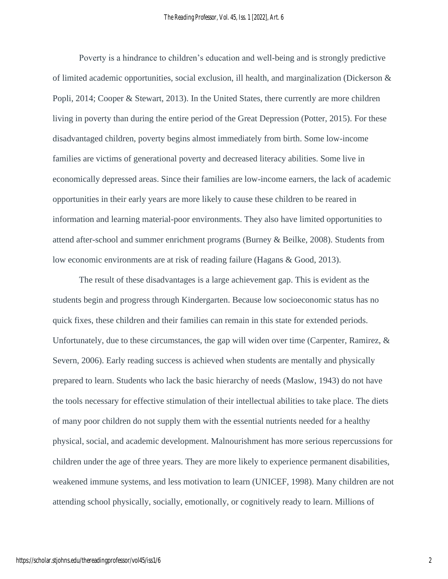Poverty is a hindrance to children's education and well-being and is strongly predictive of limited academic opportunities, social exclusion, ill health, and marginalization (Dickerson  $\&$ Popli, 2014; Cooper & Stewart, 2013). In the United States, there currently are more children living in poverty than during the entire period of the Great Depression (Potter, 2015). For these disadvantaged children, poverty begins almost immediately from birth. Some low-income families are victims of generational poverty and decreased literacy abilities. Some live in economically depressed areas. Since their families are low-income earners, the lack of academic opportunities in their early years are more likely to cause these children to be reared in information and learning material-poor environments. They also have limited opportunities to attend after-school and summer enrichment programs (Burney & Beilke, 2008). Students from low economic environments are at risk of reading failure (Hagans & Good, 2013).

The result of these disadvantages is a large achievement gap. This is evident as the students begin and progress through Kindergarten. Because low socioeconomic status has no quick fixes, these children and their families can remain in this state for extended periods. Unfortunately, due to these circumstances, the gap will widen over time (Carpenter, Ramirez, & Severn, 2006). Early reading success is achieved when students are mentally and physically prepared to learn. Students who lack the basic hierarchy of needs (Maslow, 1943) do not have the tools necessary for effective stimulation of their intellectual abilities to take place. The diets of many poor children do not supply them with the essential nutrients needed for a healthy physical, social, and academic development. Malnourishment has more serious repercussions for children under the age of three years. They are more likely to experience permanent disabilities, weakened immune systems, and less motivation to learn (UNICEF, 1998). Many children are not attending school physically, socially, emotionally, or cognitively ready to learn. Millions of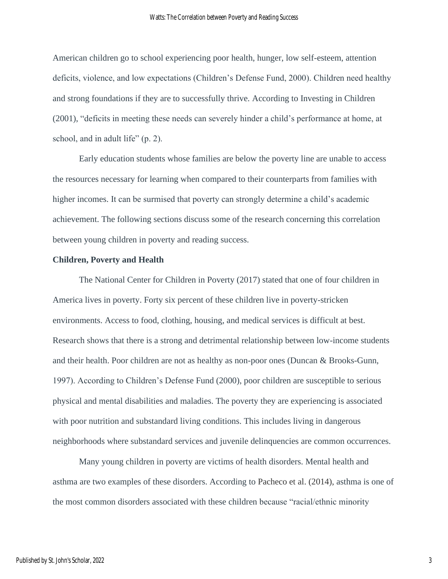American children go to school experiencing poor health, hunger, low self-esteem, attention deficits, violence, and low expectations (Children's Defense Fund, 2000). Children need healthy and strong foundations if they are to successfully thrive. According to Investing in Children (2001), "deficits in meeting these needs can severely hinder a child's performance at home, at school, and in adult life" (p. 2).

Early education students whose families are below the poverty line are unable to access the resources necessary for learning when compared to their counterparts from families with higher incomes. It can be surmised that poverty can strongly determine a child's academic achievement. The following sections discuss some of the research concerning this correlation between young children in poverty and reading success.

#### **Children, Poverty and Health**

The National Center for Children in Poverty (2017) stated that one of four children in America lives in poverty. Forty six percent of these children live in poverty-stricken environments. Access to food, clothing, housing, and medical services is difficult at best. Research shows that there is a strong and detrimental relationship between low-income students and their health. Poor children are not as healthy as non-poor ones (Duncan & Brooks-Gunn, 1997). According to Children's Defense Fund (2000), poor children are susceptible to serious physical and mental disabilities and maladies. The poverty they are experiencing is associated with poor nutrition and substandard living conditions. This includes living in dangerous neighborhoods where substandard services and juvenile delinquencies are common occurrences.

Many young children in poverty are victims of health disorders. Mental health and asthma are two examples of these disorders. According to Pacheco et al. (2014), asthma is one of the most common disorders associated with these children because "racial/ethnic minority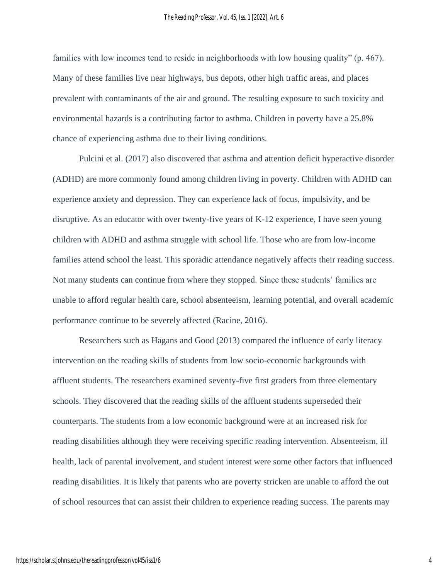families with low incomes tend to reside in neighborhoods with low housing quality" (p. 467). Many of these families live near highways, bus depots, other high traffic areas, and places prevalent with contaminants of the air and ground. The resulting exposure to such toxicity and environmental hazards is a contributing factor to asthma. Children in poverty have a 25.8% chance of experiencing asthma due to their living conditions.

Pulcini et al. (2017) also discovered that asthma and attention deficit hyperactive disorder (ADHD) are more commonly found among children living in poverty. Children with ADHD can experience anxiety and depression. They can experience lack of focus, impulsivity, and be disruptive. As an educator with over twenty-five years of K-12 experience, I have seen young children with ADHD and asthma struggle with school life. Those who are from low-income families attend school the least. This sporadic attendance negatively affects their reading success. Not many students can continue from where they stopped. Since these students' families are unable to afford regular health care, school absenteeism, learning potential, and overall academic performance continue to be severely affected (Racine, 2016).

Researchers such as Hagans and Good (2013) compared the influence of early literacy intervention on the reading skills of students from low socio-economic backgrounds with affluent students. The researchers examined seventy-five first graders from three elementary schools. They discovered that the reading skills of the affluent students superseded their counterparts. The students from a low economic background were at an increased risk for reading disabilities although they were receiving specific reading intervention. Absenteeism, ill health, lack of parental involvement, and student interest were some other factors that influenced reading disabilities. It is likely that parents who are poverty stricken are unable to afford the out of school resources that can assist their children to experience reading success. The parents may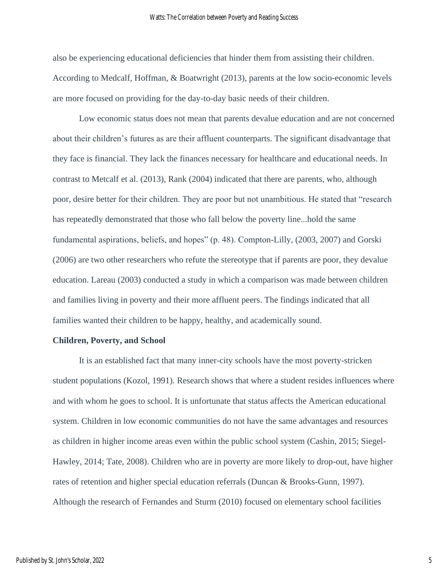also be experiencing educational deficiencies that hinder them from assisting their children. According to Medcalf, Hoffman, & Boatwright (2013), parents at the low socio-economic levels are more focused on providing for the day-to-day basic needs of their children.

Low economic status does not mean that parents devalue education and are not concerned about their children's futures as are their affluent counterparts. The significant disadvantage that they face is financial. They lack the finances necessary for healthcare and educational needs. In contrast to Metcalf et al. (2013), Rank (2004) indicated that there are parents, who, although poor, desire better for their children. They are poor but not unambitious. He stated that "research has repeatedly demonstrated that those who fall below the poverty line...hold the same fundamental aspirations, beliefs, and hopes" (p. 48). Compton-Lilly, (2003, 2007) and Gorski (2006) are two other researchers who refute the stereotype that if parents are poor, they devalue education. Lareau (2003) conducted a study in which a comparison was made between children and families living in poverty and their more affluent peers. The findings indicated that all families wanted their children to be happy, healthy, and academically sound.

#### **Children, Poverty, and School**

It is an established fact that many inner-city schools have the most poverty-stricken student populations (Kozol, 1991). Research shows that where a student resides influences where and with whom he goes to school. It is unfortunate that status affects the American educational system. Children in low economic communities do not have the same advantages and resources as children in higher income areas even within the public school system (Cashin, 2015; Siegel-Hawley, 2014; Tate, 2008). Children who are in poverty are more likely to drop-out, have higher rates of retention and higher special education referrals (Duncan & Brooks-Gunn, 1997). Although the research of Fernandes and Sturm (2010) focused on elementary school facilities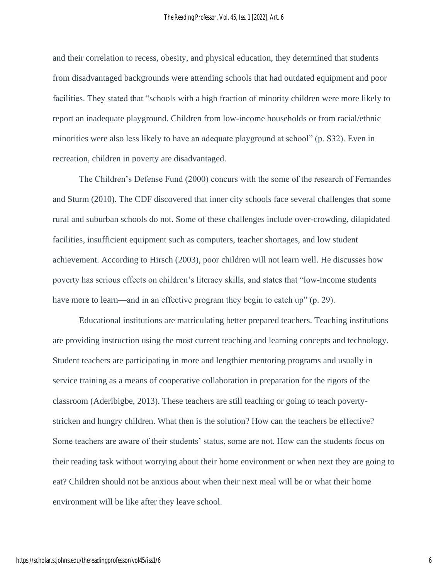and their correlation to recess, obesity, and physical education, they determined that students from disadvantaged backgrounds were attending schools that had outdated equipment and poor facilities. They stated that "schools with a high fraction of minority children were more likely to report an inadequate playground. Children from low-income households or from racial/ethnic minorities were also less likely to have an adequate playground at school" (p. S32). Even in recreation, children in poverty are disadvantaged.

The Children's Defense Fund (2000) concurs with the some of the research of Fernandes and Sturm (2010). The CDF discovered that inner city schools face several challenges that some rural and suburban schools do not. Some of these challenges include over-crowding, dilapidated facilities, insufficient equipment such as computers, teacher shortages, and low student achievement. According to Hirsch (2003), poor children will not learn well. He discusses how poverty has serious effects on children's literacy skills, and states that "low-income students have more to learn—and in an effective program they begin to catch up" (p. 29).

Educational institutions are matriculating better prepared teachers. Teaching institutions are providing instruction using the most current teaching and learning concepts and technology. Student teachers are participating in more and lengthier mentoring programs and usually in service training as a means of cooperative collaboration in preparation for the rigors of the classroom (Aderibigbe, 2013). These teachers are still teaching or going to teach povertystricken and hungry children. What then is the solution? How can the teachers be effective? Some teachers are aware of their students' status, some are not. How can the students focus on their reading task without worrying about their home environment or when next they are going to eat? Children should not be anxious about when their next meal will be or what their home environment will be like after they leave school.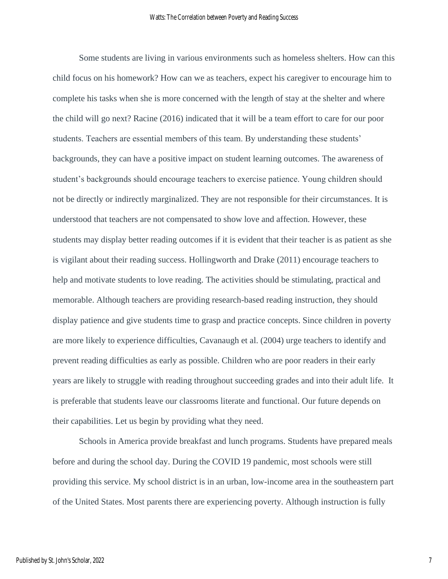Some students are living in various environments such as homeless shelters. How can this child focus on his homework? How can we as teachers, expect his caregiver to encourage him to complete his tasks when she is more concerned with the length of stay at the shelter and where the child will go next? Racine (2016) indicated that it will be a team effort to care for our poor students. Teachers are essential members of this team. By understanding these students' backgrounds, they can have a positive impact on student learning outcomes. The awareness of student's backgrounds should encourage teachers to exercise patience. Young children should not be directly or indirectly marginalized. They are not responsible for their circumstances. It is understood that teachers are not compensated to show love and affection. However, these students may display better reading outcomes if it is evident that their teacher is as patient as she is vigilant about their reading success. Hollingworth and Drake (2011) encourage teachers to help and motivate students to love reading. The activities should be stimulating, practical and memorable. Although teachers are providing research-based reading instruction, they should display patience and give students time to grasp and practice concepts. Since children in poverty are more likely to experience difficulties, Cavanaugh et al. (2004) urge teachers to identify and prevent reading difficulties as early as possible. Children who are poor readers in their early years are likely to struggle with reading throughout succeeding grades and into their adult life. It is preferable that students leave our classrooms literate and functional. Our future depends on their capabilities. Let us begin by providing what they need.

Schools in America provide breakfast and lunch programs. Students have prepared meals before and during the school day. During the COVID 19 pandemic, most schools were still providing this service. My school district is in an urban, low-income area in the southeastern part of the United States. Most parents there are experiencing poverty. Although instruction is fully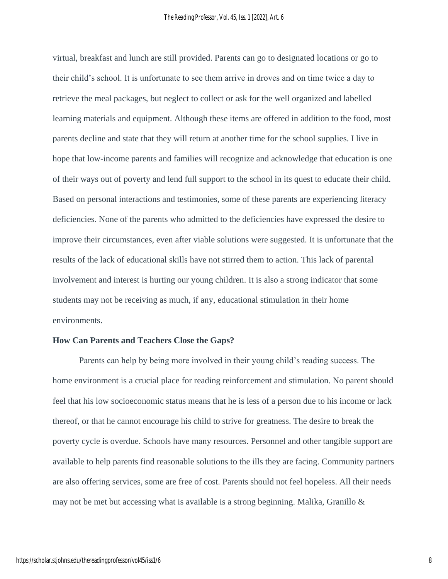virtual, breakfast and lunch are still provided. Parents can go to designated locations or go to their child's school. It is unfortunate to see them arrive in droves and on time twice a day to retrieve the meal packages, but neglect to collect or ask for the well organized and labelled learning materials and equipment. Although these items are offered in addition to the food, most parents decline and state that they will return at another time for the school supplies. I live in hope that low-income parents and families will recognize and acknowledge that education is one of their ways out of poverty and lend full support to the school in its quest to educate their child. Based on personal interactions and testimonies, some of these parents are experiencing literacy deficiencies. None of the parents who admitted to the deficiencies have expressed the desire to improve their circumstances, even after viable solutions were suggested. It is unfortunate that the results of the lack of educational skills have not stirred them to action. This lack of parental involvement and interest is hurting our young children. It is also a strong indicator that some students may not be receiving as much, if any, educational stimulation in their home environments.

#### **How Can Parents and Teachers Close the Gaps?**

Parents can help by being more involved in their young child's reading success. The home environment is a crucial place for reading reinforcement and stimulation. No parent should feel that his low socioeconomic status means that he is less of a person due to his income or lack thereof, or that he cannot encourage his child to strive for greatness. The desire to break the poverty cycle is overdue. Schools have many resources. Personnel and other tangible support are available to help parents find reasonable solutions to the ills they are facing. Community partners are also offering services, some are free of cost. Parents should not feel hopeless. All their needs may not be met but accessing what is available is a strong beginning. Malika, Granillo &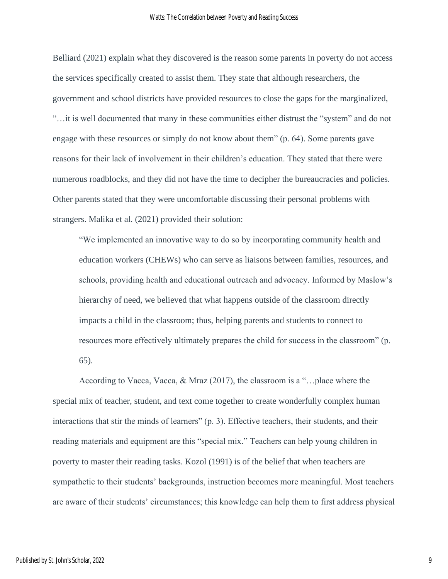Belliard (2021) explain what they discovered is the reason some parents in poverty do not access the services specifically created to assist them. They state that although researchers, the government and school districts have provided resources to close the gaps for the marginalized, "…it is well documented that many in these communities either distrust the "system" and do not engage with these resources or simply do not know about them" (p. 64). Some parents gave reasons for their lack of involvement in their children's education. They stated that there were numerous roadblocks, and they did not have the time to decipher the bureaucracies and policies. Other parents stated that they were uncomfortable discussing their personal problems with strangers. Malika et al. (2021) provided their solution:

"We implemented an innovative way to do so by incorporating community health and education workers (CHEWs) who can serve as liaisons between families, resources, and schools, providing health and educational outreach and advocacy. Informed by Maslow's hierarchy of need, we believed that what happens outside of the classroom directly impacts a child in the classroom; thus, helping parents and students to connect to resources more effectively ultimately prepares the child for success in the classroom" (p. 65).

According to Vacca, Vacca, & Mraz (2017), the classroom is a "…place where the special mix of teacher, student, and text come together to create wonderfully complex human interactions that stir the minds of learners" (p. 3). Effective teachers, their students, and their reading materials and equipment are this "special mix." Teachers can help young children in poverty to master their reading tasks. Kozol (1991) is of the belief that when teachers are sympathetic to their students' backgrounds, instruction becomes more meaningful. Most teachers are aware of their students' circumstances; this knowledge can help them to first address physical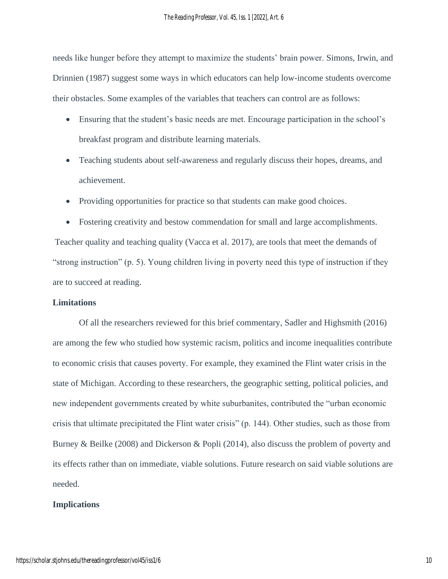needs like hunger before they attempt to maximize the students' brain power. Simons, Irwin, and Drinnien (1987) suggest some ways in which educators can help low-income students overcome their obstacles. Some examples of the variables that teachers can control are as follows:

- Ensuring that the student's basic needs are met. Encourage participation in the school's breakfast program and distribute learning materials.
- Teaching students about self-awareness and regularly discuss their hopes, dreams, and achievement.
- Providing opportunities for practice so that students can make good choices.
- Fostering creativity and bestow commendation for small and large accomplishments.

Teacher quality and teaching quality (Vacca et al. 2017), are tools that meet the demands of "strong instruction" (p. 5). Young children living in poverty need this type of instruction if they are to succeed at reading.

### **Limitations**

Of all the researchers reviewed for this brief commentary, Sadler and Highsmith (2016) are among the few who studied how systemic racism, politics and income inequalities contribute to economic crisis that causes poverty. For example, they examined the Flint water crisis in the state of Michigan. According to these researchers, the geographic setting, political policies, and new independent governments created by white suburbanites, contributed the "urban economic crisis that ultimate precipitated the Flint water crisis" (p. 144). Other studies, such as those from Burney & Beilke (2008) and Dickerson & Popli (2014), also discuss the problem of poverty and its effects rather than on immediate, viable solutions. Future research on said viable solutions are needed.

#### **Implications**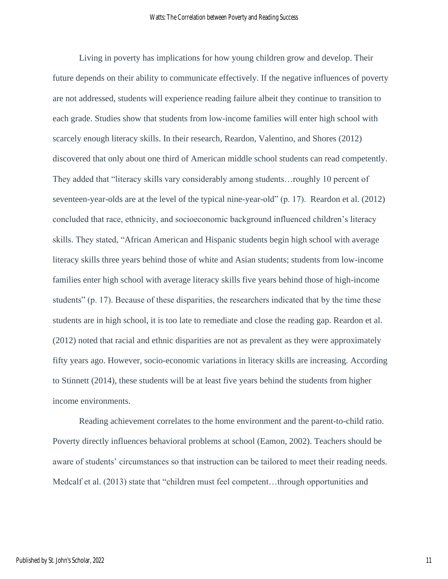Living in poverty has implications for how young children grow and develop. Their future depends on their ability to communicate effectively. If the negative influences of poverty are not addressed, students will experience reading failure albeit they continue to transition to each grade. Studies show that students from low-income families will enter high school with scarcely enough literacy skills. In their research, Reardon, Valentino, and Shores (2012) discovered that only about one third of American middle school students can read competently. They added that "literacy skills vary considerably among students…roughly 10 percent of seventeen-year-olds are at the level of the typical nine-year-old" (p. 17). Reardon et al. (2012) concluded that race, ethnicity, and socioeconomic background influenced children's literacy skills. They stated, "African American and Hispanic students begin high school with average literacy skills three years behind those of white and Asian students; students from low-income families enter high school with average literacy skills five years behind those of high-income students" (p. 17). Because of these disparities, the researchers indicated that by the time these students are in high school, it is too late to remediate and close the reading gap. Reardon et al. (2012) noted that racial and ethnic disparities are not as prevalent as they were approximately fifty years ago. However, socio-economic variations in literacy skills are increasing. According to Stinnett (2014), these students will be at least five years behind the students from higher income environments.

Reading achievement correlates to the home environment and the parent-to-child ratio. Poverty directly influences behavioral problems at school (Eamon, 2002). Teachers should be aware of students' circumstances so that instruction can be tailored to meet their reading needs. Medcalf et al. (2013) state that "children must feel competent...through opportunities and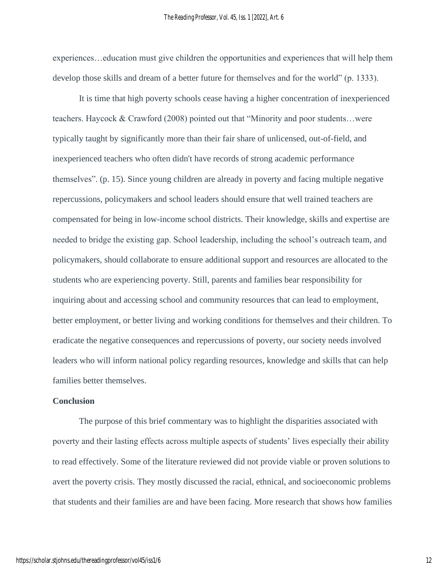experiences…education must give children the opportunities and experiences that will help them develop those skills and dream of a better future for themselves and for the world" (p. 1333).

It is time that high poverty schools cease having a higher concentration of inexperienced teachers. Haycock & Crawford (2008) pointed out that "Minority and poor students…were typically taught by significantly more than their fair share of unlicensed, out-of-field, and inexperienced teachers who often didn't have records of strong academic performance themselves". (p. 15). Since young children are already in poverty and facing multiple negative repercussions, policymakers and school leaders should ensure that well trained teachers are compensated for being in low-income school districts. Their knowledge, skills and expertise are needed to bridge the existing gap. School leadership, including the school's outreach team, and policymakers, should collaborate to ensure additional support and resources are allocated to the students who are experiencing poverty. Still, parents and families bear responsibility for inquiring about and accessing school and community resources that can lead to employment, better employment, or better living and working conditions for themselves and their children. To eradicate the negative consequences and repercussions of poverty, our society needs involved leaders who will inform national policy regarding resources, knowledge and skills that can help families better themselves.

### **Conclusion**

The purpose of this brief commentary was to highlight the disparities associated with poverty and their lasting effects across multiple aspects of students' lives especially their ability to read effectively. Some of the literature reviewed did not provide viable or proven solutions to avert the poverty crisis. They mostly discussed the racial, ethnical, and socioeconomic problems that students and their families are and have been facing. More research that shows how families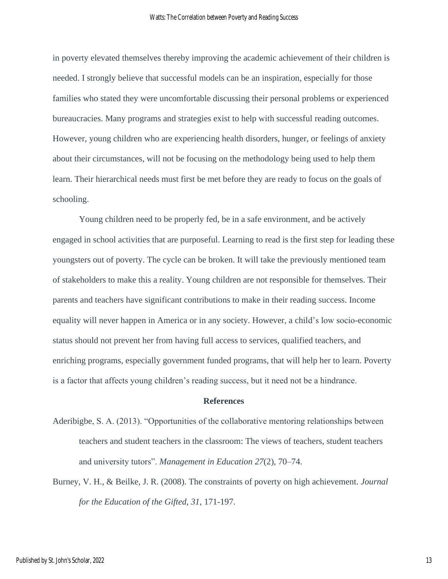in poverty elevated themselves thereby improving the academic achievement of their children is needed. I strongly believe that successful models can be an inspiration, especially for those families who stated they were uncomfortable discussing their personal problems or experienced bureaucracies. Many programs and strategies exist to help with successful reading outcomes. However, young children who are experiencing health disorders, hunger, or feelings of anxiety about their circumstances, will not be focusing on the methodology being used to help them learn. Their hierarchical needs must first be met before they are ready to focus on the goals of schooling.

Young children need to be properly fed, be in a safe environment, and be actively engaged in school activities that are purposeful. Learning to read is the first step for leading these youngsters out of poverty. The cycle can be broken. It will take the previously mentioned team of stakeholders to make this a reality. Young children are not responsible for themselves. Their parents and teachers have significant contributions to make in their reading success. Income equality will never happen in America or in any society. However, a child's low socio-economic status should not prevent her from having full access to services, qualified teachers, and enriching programs, especially government funded programs, that will help her to learn. Poverty is a factor that affects young children's reading success, but it need not be a hindrance.

#### **References**

- Aderibigbe, S. A. (2013). "Opportunities of the collaborative mentoring relationships between teachers and student teachers in the classroom: The views of teachers, student teachers and university tutors". *Management in Education 27*(2), 70–74.
- Burney, V. H., & Beilke, J. R. (2008). The constraints of poverty on high achievement. *Journal for the Education of the Gifted, 31*, 171-197.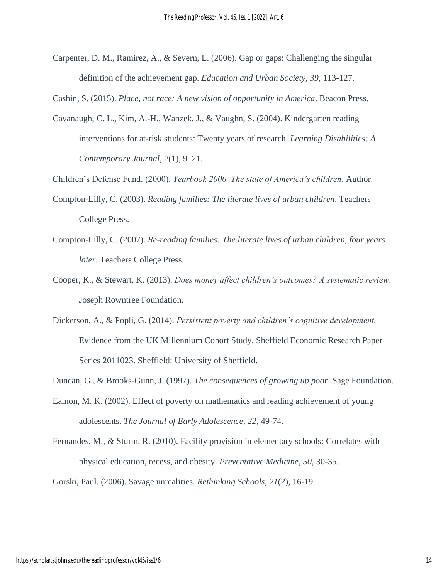Carpenter, D. M., Ramirez, A., & Severn, L. (2006). Gap or gaps: Challenging the singular definition of the achievement gap. *Education and Urban Society, 39*, 113-127.

Cashin, S. (2015). *Place, not race: A new vision of opportunity in America*. Beacon Press.

- Cavanaugh, C. L., Kim, A.-H., Wanzek, J., & Vaughn, S. (2004). Kindergarten reading interventions for at-risk students: Twenty years of research. *Learning Disabilities: A Contemporary Journal, 2*(1), 9–21.
- Children's Defense Fund. (2000). *Yearbook 2000. The state of America's children*. Author.
- Compton-Lilly, C. (2003). *Reading families: The literate lives of urban children*. Teachers College Press.
- Compton-Lilly, C. (2007). *Re-reading families: The literate lives of urban children, four years later*. Teachers College Press.
- Cooper, K., & Stewart, K. (2013). *Does money affect children's outcomes? A systematic review*. Joseph Rowntree Foundation.
- Dickerson, A., & Popli, G. (2014). *Persistent poverty and children's cognitive development.*  Evidence from the UK Millennium Cohort Study. Sheffield Economic Research Paper Series 2011023. Sheffield: University of Sheffield.
- Duncan, G., & Brooks-Gunn, J. (1997). *The consequences of growing up poor*. Sage Foundation.
- Eamon, M. K. (2002). Effect of poverty on mathematics and reading achievement of young adolescents. *The Journal of Early Adolescence, 22*, 49-74.
- Fernandes, M., & Sturm, R. (2010). Facility provision in elementary schools: Correlates with physical education, recess, and obesity. *Preventative Medicine*, *50*, 30-35.

Gorski, Paul. (2006). Savage unrealities. *Rethinking Schools, 21*(2), 16-19.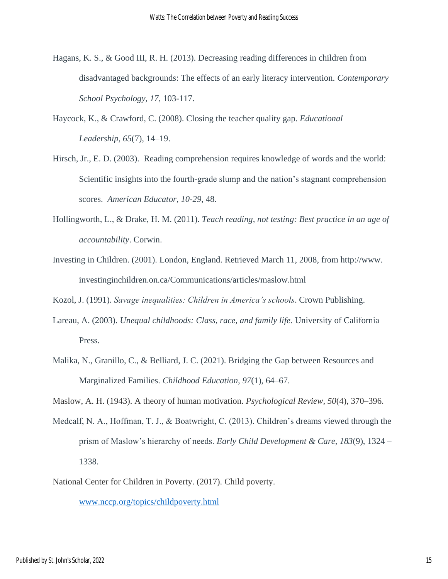- Hagans, K. S., & Good III, R. H. (2013). Decreasing reading differences in children from disadvantaged backgrounds: The effects of an early literacy intervention. *Contemporary School Psychology, 17,* 103-117.
- Haycock, K., & Crawford, C. (2008). Closing the teacher quality gap. *Educational Leadership, 65*(7), 14–19.
- Hirsch, Jr., E. D. (2003). Reading comprehension requires knowledge of words and the world: Scientific insights into the fourth-grade slump and the nation's stagnant comprehension scores. *American Educator*, *10-29*, 48.
- Hollingworth, L., & Drake, H. M. (2011). *Teach reading, not testing: Best practice in an age of accountability*. Corwin.
- Investing in Children. (2001). London, England. Retrieved March 11, 2008, from http://www. investinginchildren.on.ca/Communications/articles/maslow.html

Kozol, J. (1991). *Savage inequalities: Children in America's schools*. Crown Publishing.

- Lareau, A. (2003). *Unequal childhoods: Class, race, and family life.* University of California Press.
- Malika, N., Granillo, C., & Belliard, J. C. (2021). Bridging the Gap between Resources and Marginalized Families. *Childhood Education, 97*(1), 64–67.

Maslow, A. H. (1943). A theory of human motivation. *Psychological Review, 50*(4), 370–396.

- Medcalf, N. A., Hoffman, T. J., & Boatwright, C. (2013). Children's dreams viewed through the prism of Maslow's hierarchy of needs. *Early Child Development & Care, 183*(9), 1324 – 1338.
- National Center for Children in Poverty. (2017). Child poverty.

[www.nccp.org/topics/childpoverty.html](http://www.nccp.org/topics/childpoverty.html)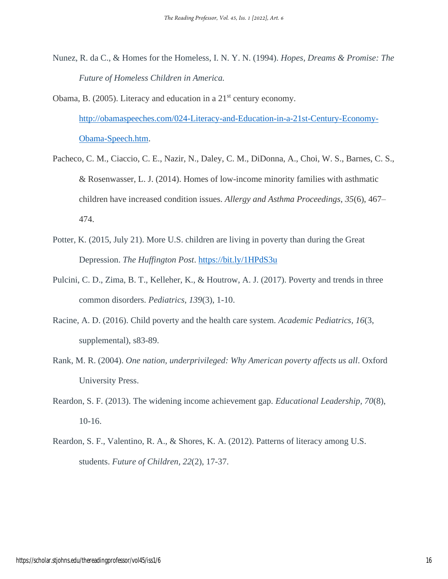- Nunez, R. da C., & Homes for the Homeless, I. N. Y. N. (1994). *Hopes, Dreams & Promise: The Future of Homeless Children in America.*
- Obama, B. (2005). Literacy and education in a 21<sup>st</sup> century economy. [http://obamaspeeches.com/024-Literacy-and-Education-in-a-21st-Century-Economy-](http://obamaspeeches.com/024-Literacy-and-Education-in-a-21st-Century-Economy-Obama-Speech.htm)[Obama-Speech.htm.](http://obamaspeeches.com/024-Literacy-and-Education-in-a-21st-Century-Economy-Obama-Speech.htm)
- Pacheco, C. M., Ciaccio, C. E., Nazir, N., Daley, C. M., DiDonna, A., Choi, W. S., Barnes, C. S., & Rosenwasser, L. J. (2014). Homes of low-income minority families with asthmatic children have increased condition issues. *Allergy and Asthma Proceedings*, *35*(6), 467– 474.
- Potter, K. (2015, July 21). More U.S. children are living in poverty than during the Great Depression. *The Huffington Post*.<https://bit.ly/1HPdS3u>
- Pulcini, C. D., Zima, B. T., Kelleher, K., & Houtrow, A. J. (2017). Poverty and trends in three common disorders. *Pediatrics, 139*(3), 1-10.
- Racine, A. D. (2016). Child poverty and the health care system. *Academic Pediatrics, 16*(3, supplemental), s83-89.
- Rank, M. R. (2004). *One nation, underprivileged: Why American poverty affects us all*. Oxford University Press.
- Reardon, S. F. (2013). The widening income achievement gap. *Educational Leadership, 70*(8), 10-16.
- Reardon, S. F., Valentino, R. A., & Shores, K. A. (2012). Patterns of literacy among U.S. students. *Future of Children, 22*(2), 17-37.